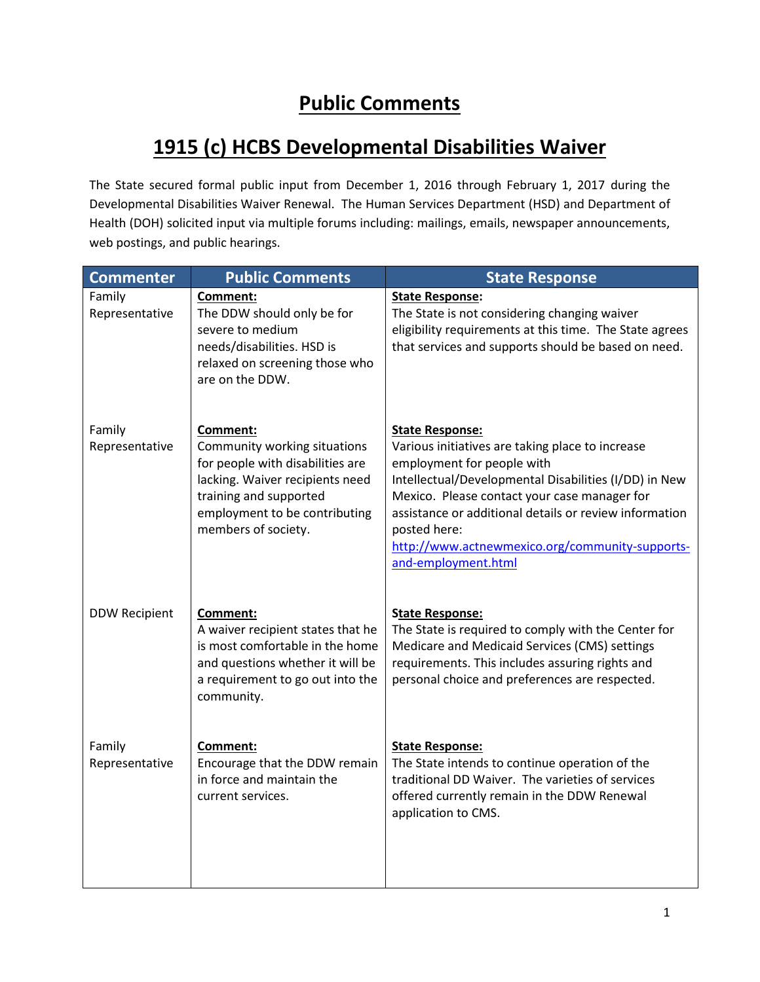## **Public Comments**

## **1915 (c) HCBS Developmental Disabilities Waiver**

The State secured formal public input from December 1, 2016 through February 1, 2017 during the Developmental Disabilities Waiver Renewal. The Human Services Department (HSD) and Department of Health (DOH) solicited input via multiple forums including: mailings, emails, newspaper announcements, web postings, and public hearings.

| <b>Commenter</b>         | <b>Public Comments</b>                                                                                                                                                                            | <b>State Response</b>                                                                                                                                                                                                                                                                                                                                                 |
|--------------------------|---------------------------------------------------------------------------------------------------------------------------------------------------------------------------------------------------|-----------------------------------------------------------------------------------------------------------------------------------------------------------------------------------------------------------------------------------------------------------------------------------------------------------------------------------------------------------------------|
| Family<br>Representative | Comment:<br>The DDW should only be for<br>severe to medium<br>needs/disabilities. HSD is<br>relaxed on screening those who<br>are on the DDW.                                                     | <b>State Response:</b><br>The State is not considering changing waiver<br>eligibility requirements at this time. The State agrees<br>that services and supports should be based on need.                                                                                                                                                                              |
| Family<br>Representative | Comment:<br>Community working situations<br>for people with disabilities are<br>lacking. Waiver recipients need<br>training and supported<br>employment to be contributing<br>members of society. | <b>State Response:</b><br>Various initiatives are taking place to increase<br>employment for people with<br>Intellectual/Developmental Disabilities (I/DD) in New<br>Mexico. Please contact your case manager for<br>assistance or additional details or review information<br>posted here:<br>http://www.actnewmexico.org/community-supports-<br>and-employment.html |
| <b>DDW Recipient</b>     | Comment:<br>A waiver recipient states that he<br>is most comfortable in the home<br>and questions whether it will be<br>a requirement to go out into the<br>community.                            | <b>State Response:</b><br>The State is required to comply with the Center for<br>Medicare and Medicaid Services (CMS) settings<br>requirements. This includes assuring rights and<br>personal choice and preferences are respected.                                                                                                                                   |
| Family<br>Representative | Comment:<br>Encourage that the DDW remain<br>in force and maintain the<br>current services.                                                                                                       | <b>State Response:</b><br>The State intends to continue operation of the<br>traditional DD Waiver. The varieties of services<br>offered currently remain in the DDW Renewal<br>application to CMS.                                                                                                                                                                    |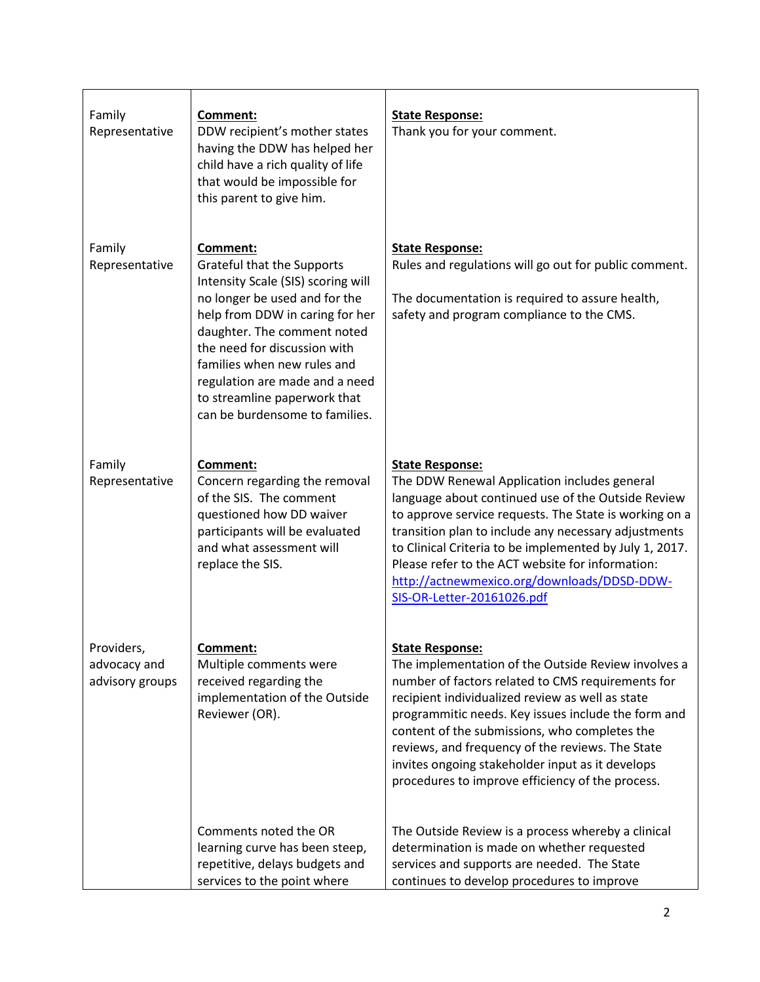| Family<br>Representative                      | Comment:<br>DDW recipient's mother states<br>having the DDW has helped her<br>child have a rich quality of life<br>that would be impossible for<br>this parent to give him.                                                                                                                                                                        | <b>State Response:</b><br>Thank you for your comment.                                                                                                                                                                                                                                                                                                                                                                                                      |
|-----------------------------------------------|----------------------------------------------------------------------------------------------------------------------------------------------------------------------------------------------------------------------------------------------------------------------------------------------------------------------------------------------------|------------------------------------------------------------------------------------------------------------------------------------------------------------------------------------------------------------------------------------------------------------------------------------------------------------------------------------------------------------------------------------------------------------------------------------------------------------|
| Family<br>Representative                      | Comment:<br>Grateful that the Supports<br>Intensity Scale (SIS) scoring will<br>no longer be used and for the<br>help from DDW in caring for her<br>daughter. The comment noted<br>the need for discussion with<br>families when new rules and<br>regulation are made and a need<br>to streamline paperwork that<br>can be burdensome to families. | <b>State Response:</b><br>Rules and regulations will go out for public comment.<br>The documentation is required to assure health,<br>safety and program compliance to the CMS.                                                                                                                                                                                                                                                                            |
| Family<br>Representative                      | Comment:<br>Concern regarding the removal<br>of the SIS. The comment<br>questioned how DD waiver<br>participants will be evaluated<br>and what assessment will<br>replace the SIS.                                                                                                                                                                 | <b>State Response:</b><br>The DDW Renewal Application includes general<br>language about continued use of the Outside Review<br>to approve service requests. The State is working on a<br>transition plan to include any necessary adjustments<br>to Clinical Criteria to be implemented by July 1, 2017.<br>Please refer to the ACT website for information:<br>http://actnewmexico.org/downloads/DDSD-DDW-<br>SIS-OR-Letter-20161026.pdf                 |
| Providers,<br>advocacy and<br>advisory groups | <u>Comment:</u><br>Multiple comments were<br>received regarding the<br>implementation of the Outside<br>Reviewer (OR).                                                                                                                                                                                                                             | <u>State Response:</u><br>The implementation of the Outside Review involves a<br>number of factors related to CMS requirements for<br>recipient individualized review as well as state<br>programmitic needs. Key issues include the form and<br>content of the submissions, who completes the<br>reviews, and frequency of the reviews. The State<br>invites ongoing stakeholder input as it develops<br>procedures to improve efficiency of the process. |
|                                               | Comments noted the OR<br>learning curve has been steep,<br>repetitive, delays budgets and<br>services to the point where                                                                                                                                                                                                                           | The Outside Review is a process whereby a clinical<br>determination is made on whether requested<br>services and supports are needed. The State<br>continues to develop procedures to improve                                                                                                                                                                                                                                                              |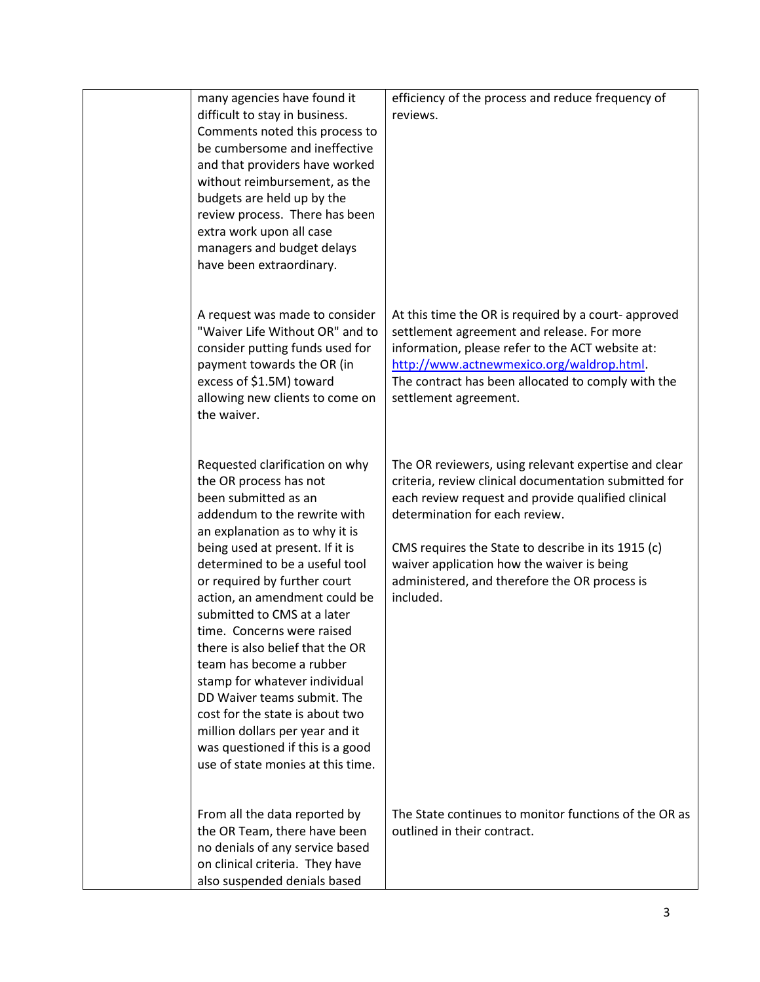| many agencies have found it<br>difficult to stay in business.<br>Comments noted this process to<br>be cumbersome and ineffective<br>and that providers have worked<br>without reimbursement, as the<br>budgets are held up by the<br>review process. There has been<br>extra work upon all case<br>managers and budget delays<br>have been extraordinary.                                                                                                                                                                                                                                                                            | efficiency of the process and reduce frequency of<br>reviews.                                                                                                                                                                                                                                                                                                           |
|--------------------------------------------------------------------------------------------------------------------------------------------------------------------------------------------------------------------------------------------------------------------------------------------------------------------------------------------------------------------------------------------------------------------------------------------------------------------------------------------------------------------------------------------------------------------------------------------------------------------------------------|-------------------------------------------------------------------------------------------------------------------------------------------------------------------------------------------------------------------------------------------------------------------------------------------------------------------------------------------------------------------------|
| A request was made to consider<br>"Waiver Life Without OR" and to<br>consider putting funds used for<br>payment towards the OR (in<br>excess of \$1.5M) toward<br>allowing new clients to come on<br>the waiver.                                                                                                                                                                                                                                                                                                                                                                                                                     | At this time the OR is required by a court- approved<br>settlement agreement and release. For more<br>information, please refer to the ACT website at:<br>http://www.actnewmexico.org/waldrop.html<br>The contract has been allocated to comply with the<br>settlement agreement.                                                                                       |
| Requested clarification on why<br>the OR process has not<br>been submitted as an<br>addendum to the rewrite with<br>an explanation as to why it is<br>being used at present. If it is<br>determined to be a useful tool<br>or required by further court<br>action, an amendment could be<br>submitted to CMS at a later<br>time. Concerns were raised<br>there is also belief that the OR<br>team has become a rubber<br>stamp for whatever individual<br>DD Waiver teams submit. The<br>cost for the state is about two<br>million dollars per year and it<br>was questioned if this is a good<br>use of state monies at this time. | The OR reviewers, using relevant expertise and clear<br>criteria, review clinical documentation submitted for<br>each review request and provide qualified clinical<br>determination for each review.<br>CMS requires the State to describe in its 1915 (c)<br>waiver application how the waiver is being<br>administered, and therefore the OR process is<br>included. |
| From all the data reported by<br>the OR Team, there have been<br>no denials of any service based<br>on clinical criteria. They have<br>also suspended denials based                                                                                                                                                                                                                                                                                                                                                                                                                                                                  | The State continues to monitor functions of the OR as<br>outlined in their contract.                                                                                                                                                                                                                                                                                    |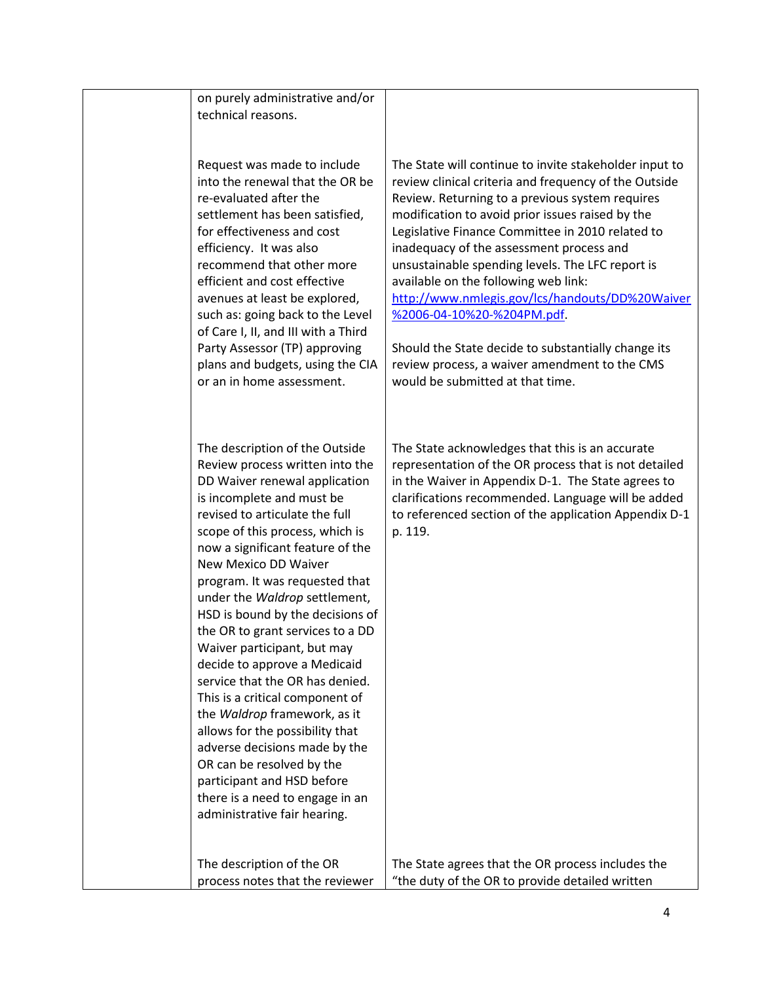| on purely administrative and/or<br>technical reasons.                                                                                                                                                                                                                                                                                                                                                                                                                                                                                                                                                                                                                                                                                                                              |                                                                                                                                                                                                                                                                                                                                                                                                                                                                                                                                                                                                                                                 |
|------------------------------------------------------------------------------------------------------------------------------------------------------------------------------------------------------------------------------------------------------------------------------------------------------------------------------------------------------------------------------------------------------------------------------------------------------------------------------------------------------------------------------------------------------------------------------------------------------------------------------------------------------------------------------------------------------------------------------------------------------------------------------------|-------------------------------------------------------------------------------------------------------------------------------------------------------------------------------------------------------------------------------------------------------------------------------------------------------------------------------------------------------------------------------------------------------------------------------------------------------------------------------------------------------------------------------------------------------------------------------------------------------------------------------------------------|
| Request was made to include<br>into the renewal that the OR be<br>re-evaluated after the<br>settlement has been satisfied,<br>for effectiveness and cost<br>efficiency. It was also<br>recommend that other more<br>efficient and cost effective<br>avenues at least be explored,<br>such as: going back to the Level<br>of Care I, II, and III with a Third<br>Party Assessor (TP) approving<br>plans and budgets, using the CIA<br>or an in home assessment.                                                                                                                                                                                                                                                                                                                     | The State will continue to invite stakeholder input to<br>review clinical criteria and frequency of the Outside<br>Review. Returning to a previous system requires<br>modification to avoid prior issues raised by the<br>Legislative Finance Committee in 2010 related to<br>inadequacy of the assessment process and<br>unsustainable spending levels. The LFC report is<br>available on the following web link:<br>http://www.nmlegis.gov/lcs/handouts/DD%20Waiver<br>%2006-04-10%20-%204PM.pdf.<br>Should the State decide to substantially change its<br>review process, a waiver amendment to the CMS<br>would be submitted at that time. |
| The description of the Outside<br>Review process written into the<br>DD Waiver renewal application<br>is incomplete and must be<br>revised to articulate the full<br>scope of this process, which is<br>now a significant feature of the<br>New Mexico DD Waiver<br>program. It was requested that<br>under the Waldrop settlement,<br>HSD is bound by the decisions of<br>the OR to grant services to a DD<br>Waiver participant, but may<br>decide to approve a Medicaid<br>service that the OR has denied.<br>This is a critical component of<br>the Waldrop framework, as it<br>allows for the possibility that<br>adverse decisions made by the<br>OR can be resolved by the<br>participant and HSD before<br>there is a need to engage in an<br>administrative fair hearing. | The State acknowledges that this is an accurate<br>representation of the OR process that is not detailed<br>in the Waiver in Appendix D-1. The State agrees to<br>clarifications recommended. Language will be added<br>to referenced section of the application Appendix D-1<br>p. 119.                                                                                                                                                                                                                                                                                                                                                        |
| The description of the OR<br>process notes that the reviewer                                                                                                                                                                                                                                                                                                                                                                                                                                                                                                                                                                                                                                                                                                                       | The State agrees that the OR process includes the<br>"the duty of the OR to provide detailed written                                                                                                                                                                                                                                                                                                                                                                                                                                                                                                                                            |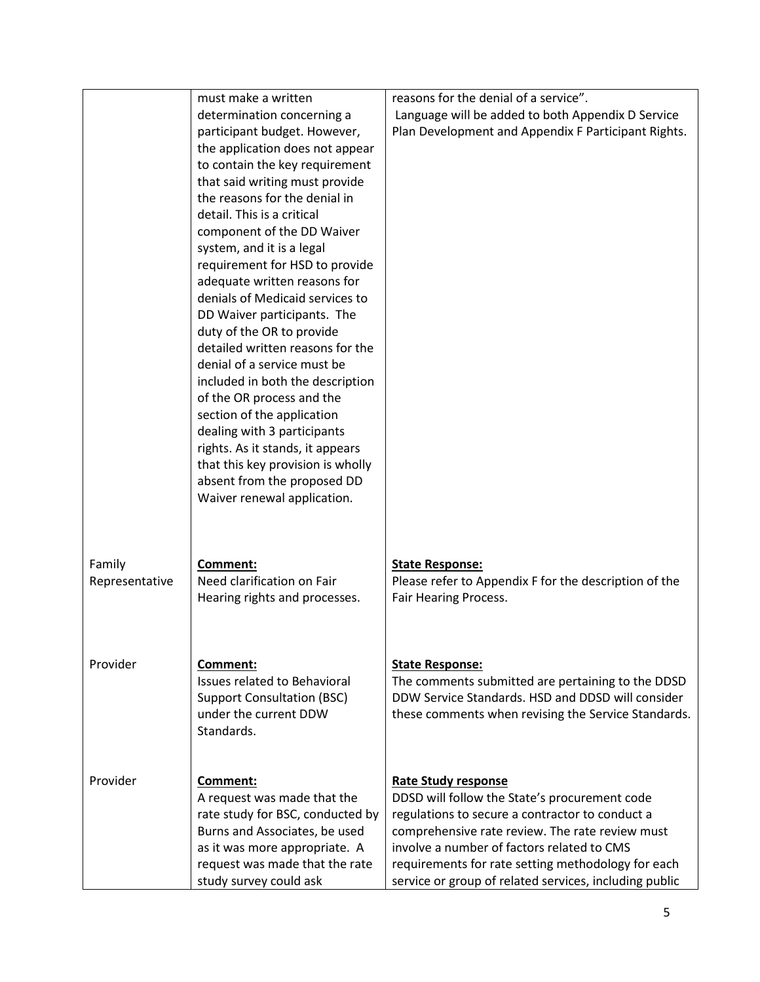|                | must make a written                                        | reasons for the denial of a service".                  |
|----------------|------------------------------------------------------------|--------------------------------------------------------|
|                | determination concerning a                                 | Language will be added to both Appendix D Service      |
|                | participant budget. However,                               | Plan Development and Appendix F Participant Rights.    |
|                | the application does not appear                            |                                                        |
|                | to contain the key requirement                             |                                                        |
|                | that said writing must provide                             |                                                        |
|                | the reasons for the denial in                              |                                                        |
|                | detail. This is a critical                                 |                                                        |
|                | component of the DD Waiver                                 |                                                        |
|                | system, and it is a legal                                  |                                                        |
|                | requirement for HSD to provide                             |                                                        |
|                | adequate written reasons for                               |                                                        |
|                | denials of Medicaid services to                            |                                                        |
|                | DD Waiver participants. The                                |                                                        |
|                | duty of the OR to provide                                  |                                                        |
|                | detailed written reasons for the                           |                                                        |
|                | denial of a service must be                                |                                                        |
|                | included in both the description                           |                                                        |
|                | of the OR process and the                                  |                                                        |
|                | section of the application                                 |                                                        |
|                | dealing with 3 participants                                |                                                        |
|                | rights. As it stands, it appears                           |                                                        |
|                | that this key provision is wholly                          |                                                        |
|                | absent from the proposed DD<br>Waiver renewal application. |                                                        |
|                |                                                            |                                                        |
|                |                                                            |                                                        |
|                |                                                            |                                                        |
| Family         | Comment:                                                   | <b>State Response:</b>                                 |
| Representative | Need clarification on Fair                                 | Please refer to Appendix F for the description of the  |
|                | Hearing rights and processes.                              | Fair Hearing Process.                                  |
|                |                                                            |                                                        |
|                |                                                            |                                                        |
|                |                                                            |                                                        |
| Provider       | Comment:                                                   | <b>State Response:</b>                                 |
|                | <b>Issues related to Behavioral</b>                        | The comments submitted are pertaining to the DDSD      |
|                | <b>Support Consultation (BSC)</b>                          | DDW Service Standards. HSD and DDSD will consider      |
|                | under the current DDW                                      | these comments when revising the Service Standards.    |
|                | Standards.                                                 |                                                        |
|                |                                                            |                                                        |
|                |                                                            |                                                        |
| Provider       | Comment:                                                   | <b>Rate Study response</b>                             |
|                | A request was made that the                                | DDSD will follow the State's procurement code          |
|                | rate study for BSC, conducted by                           | regulations to secure a contractor to conduct a        |
|                | Burns and Associates, be used                              | comprehensive rate review. The rate review must        |
|                | as it was more appropriate. A                              | involve a number of factors related to CMS             |
|                | request was made that the rate                             | requirements for rate setting methodology for each     |
|                | study survey could ask                                     | service or group of related services, including public |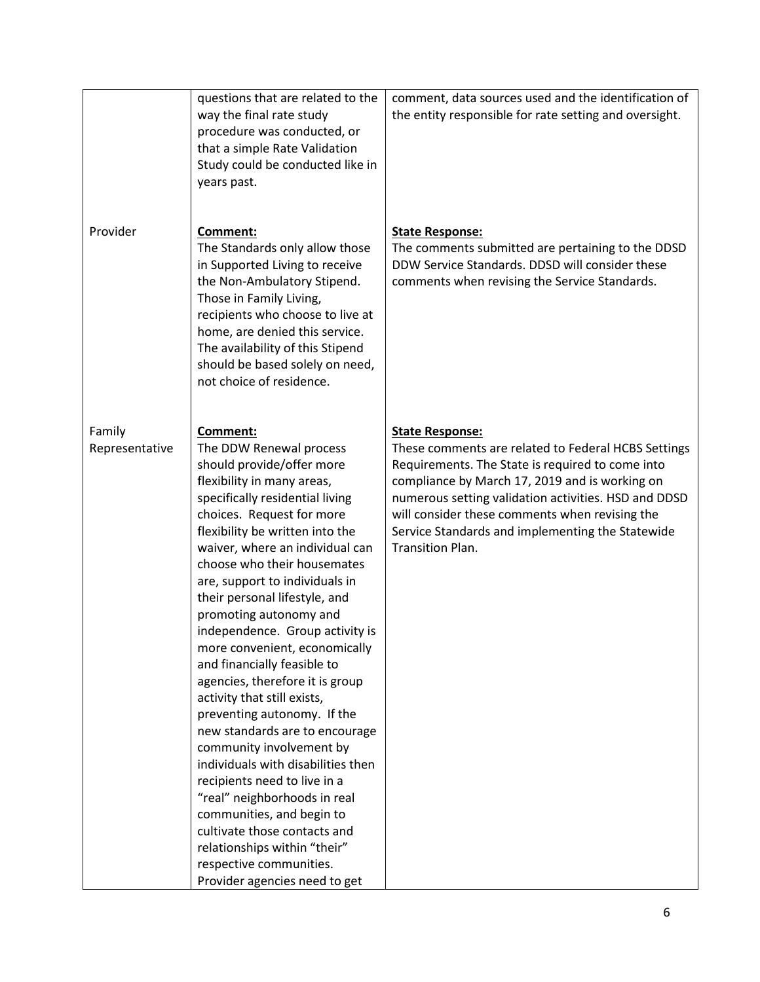|                          | questions that are related to the<br>way the final rate study<br>procedure was conducted, or<br>that a simple Rate Validation<br>Study could be conducted like in<br>years past.                                                                                                                                                                                                                                                                                                                                                                                                                                                                                                                                                                                                                                                                                                                         | comment, data sources used and the identification of<br>the entity responsible for rate setting and oversight.                                                                                                                                                                                                                                                        |
|--------------------------|----------------------------------------------------------------------------------------------------------------------------------------------------------------------------------------------------------------------------------------------------------------------------------------------------------------------------------------------------------------------------------------------------------------------------------------------------------------------------------------------------------------------------------------------------------------------------------------------------------------------------------------------------------------------------------------------------------------------------------------------------------------------------------------------------------------------------------------------------------------------------------------------------------|-----------------------------------------------------------------------------------------------------------------------------------------------------------------------------------------------------------------------------------------------------------------------------------------------------------------------------------------------------------------------|
| Provider                 | Comment:<br>The Standards only allow those<br>in Supported Living to receive<br>the Non-Ambulatory Stipend.<br>Those in Family Living,<br>recipients who choose to live at<br>home, are denied this service.<br>The availability of this Stipend<br>should be based solely on need,<br>not choice of residence.                                                                                                                                                                                                                                                                                                                                                                                                                                                                                                                                                                                          | <b>State Response:</b><br>The comments submitted are pertaining to the DDSD<br>DDW Service Standards. DDSD will consider these<br>comments when revising the Service Standards.                                                                                                                                                                                       |
| Family<br>Representative | <b>Comment:</b><br>The DDW Renewal process<br>should provide/offer more<br>flexibility in many areas,<br>specifically residential living<br>choices. Request for more<br>flexibility be written into the<br>waiver, where an individual can<br>choose who their housemates<br>are, support to individuals in<br>their personal lifestyle, and<br>promoting autonomy and<br>independence. Group activity is<br>more convenient, economically<br>and financially feasible to<br>agencies, therefore it is group<br>activity that still exists,<br>preventing autonomy. If the<br>new standards are to encourage<br>community involvement by<br>individuals with disabilities then<br>recipients need to live in a<br>"real" neighborhoods in real<br>communities, and begin to<br>cultivate those contacts and<br>relationships within "their"<br>respective communities.<br>Provider agencies need to get | <b>State Response:</b><br>These comments are related to Federal HCBS Settings<br>Requirements. The State is required to come into<br>compliance by March 17, 2019 and is working on<br>numerous setting validation activities. HSD and DDSD<br>will consider these comments when revising the<br>Service Standards and implementing the Statewide<br>Transition Plan. |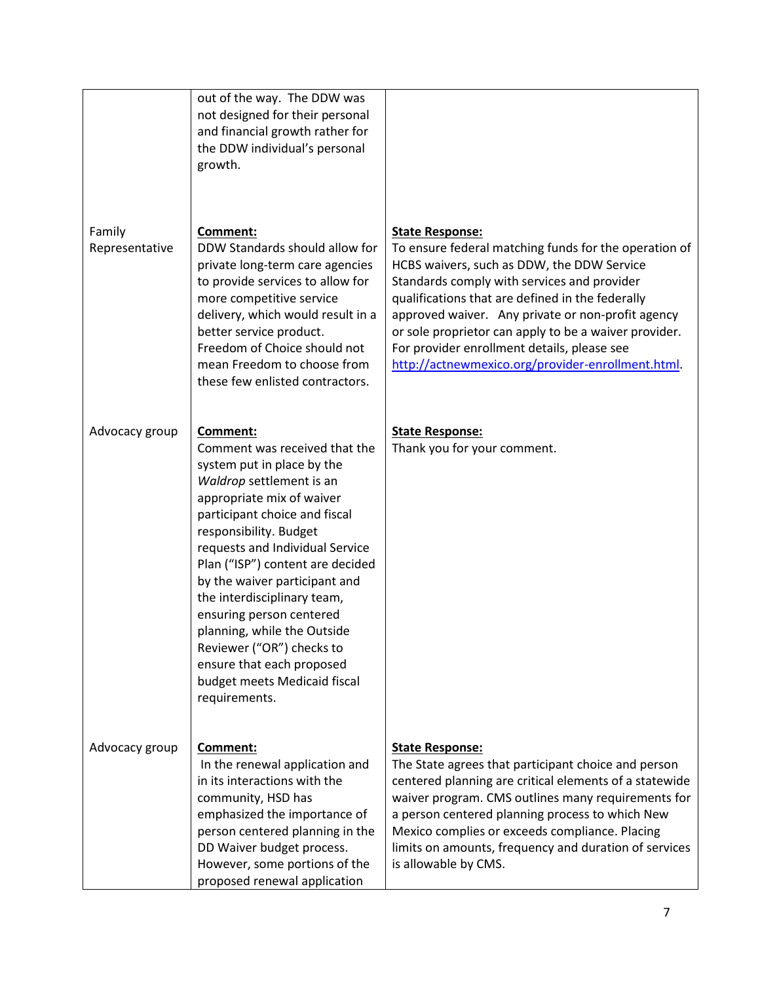|                          | out of the way. The DDW was<br>not designed for their personal<br>and financial growth rather for<br>the DDW individual's personal<br>growth.                                                                                                                                                                                                                                                                                                                                                            |                                                                                                                                                                                                                                                                                                                                                                                                                                                    |
|--------------------------|----------------------------------------------------------------------------------------------------------------------------------------------------------------------------------------------------------------------------------------------------------------------------------------------------------------------------------------------------------------------------------------------------------------------------------------------------------------------------------------------------------|----------------------------------------------------------------------------------------------------------------------------------------------------------------------------------------------------------------------------------------------------------------------------------------------------------------------------------------------------------------------------------------------------------------------------------------------------|
| Family<br>Representative | Comment:<br>DDW Standards should allow for<br>private long-term care agencies<br>to provide services to allow for<br>more competitive service<br>delivery, which would result in a<br>better service product.<br>Freedom of Choice should not<br>mean Freedom to choose from<br>these few enlisted contractors.                                                                                                                                                                                          | <b>State Response:</b><br>To ensure federal matching funds for the operation of<br>HCBS waivers, such as DDW, the DDW Service<br>Standards comply with services and provider<br>qualifications that are defined in the federally<br>approved waiver. Any private or non-profit agency<br>or sole proprietor can apply to be a waiver provider.<br>For provider enrollment details, please see<br>http://actnewmexico.org/provider-enrollment.html. |
| Advocacy group           | Comment:<br>Comment was received that the<br>system put in place by the<br>Waldrop settlement is an<br>appropriate mix of waiver<br>participant choice and fiscal<br>responsibility. Budget<br>requests and Individual Service<br>Plan ("ISP") content are decided<br>by the waiver participant and<br>the interdisciplinary team,<br>ensuring person centered<br>planning, while the Outside<br>Reviewer ("OR") checks to<br>ensure that each proposed<br>budget meets Medicaid fiscal<br>requirements. | <b>State Response:</b><br>Thank you for your comment.                                                                                                                                                                                                                                                                                                                                                                                              |
| Advocacy group           | Comment:<br>In the renewal application and<br>in its interactions with the<br>community, HSD has<br>emphasized the importance of<br>person centered planning in the<br>DD Waiver budget process.<br>However, some portions of the<br>proposed renewal application                                                                                                                                                                                                                                        | <b>State Response:</b><br>The State agrees that participant choice and person<br>centered planning are critical elements of a statewide<br>waiver program. CMS outlines many requirements for<br>a person centered planning process to which New<br>Mexico complies or exceeds compliance. Placing<br>limits on amounts, frequency and duration of services<br>is allowable by CMS.                                                                |